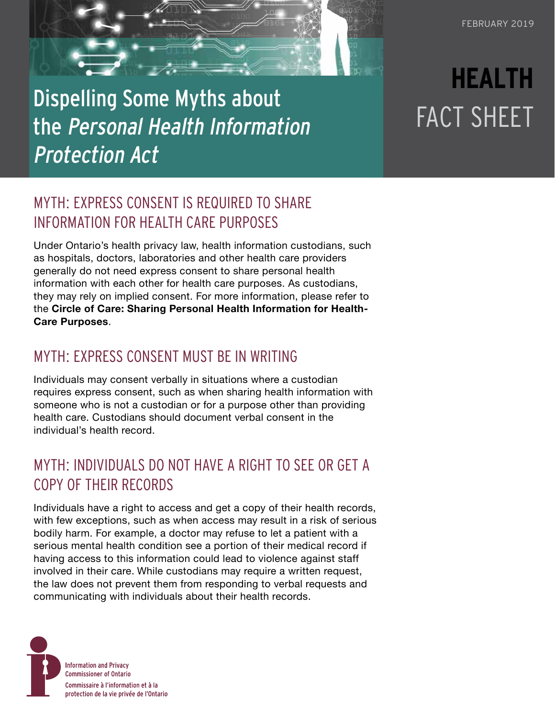# Dispelling Some Myths about the Personal Health Information Protection Act

# **HEALTH**  FACT SHEET

## MYTH: EXPRESS CONSENT IS REQUIRED TO SHARE INFORMATION FOR HEALTH CARE PURPOSES

Under Ontario's health privacy law, health information custodians, such as hospitals, doctors, laboratories and other health care providers generally do not need express consent to share personal health information with each other for health care purposes. As custodians, they may rely on implied consent. For more information, please refer to the **[Circle of Care: Sharing Personal Health Information for Health-](https://www.ipc.on.ca/wp-content/uploads/resources/circle-of-care.pdf)[Care Purposes](https://www.ipc.on.ca/wp-content/uploads/resources/circle-of-care.pdf)**.

#### MYTH: EXPRESS CONSENT MUST BE IN WRITING

Individuals may consent verbally in situations where a custodian requires express consent, such as when sharing health information with someone who is not a custodian or for a purpose other than providing health care. Custodians should document verbal consent in the individual's health record.

### MYTH: INDIVIDUALS DO NOT HAVE A RIGHT TO SEE OR GET A COPY OF THEIR RECORDS

Individuals have a right to access and get a copy of their health records, with few exceptions, such as when access may result in a risk of serious bodily harm. For example, a doctor may refuse to let a patient with a serious mental health condition see a portion of their medical record if having access to this information could lead to violence against staff involved in their care. While custodians may require a written request, the law does not prevent them from responding to verbal requests and communicating with individuals about their health records.